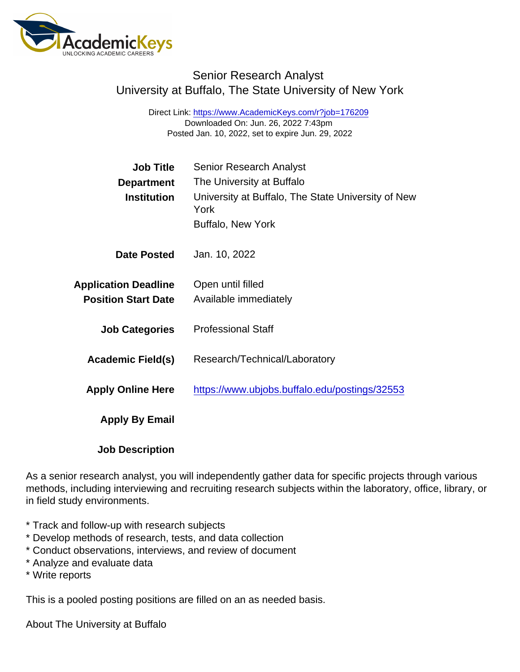## Senior Research Analyst University at Buffalo, The State University of New York

Direct Link: <https://www.AcademicKeys.com/r?job=176209> Downloaded On: Jun. 26, 2022 7:43pm Posted Jan. 10, 2022, set to expire Jun. 29, 2022

| <b>Job Title</b>            | <b>Senior Research Analyst</b>                             |
|-----------------------------|------------------------------------------------------------|
| Department                  | The University at Buffalo                                  |
| Institution                 | University at Buffalo, The State University of New<br>York |
|                             | <b>Buffalo, New York</b>                                   |
| Date Posted                 | Jan. 10, 2022                                              |
| <b>Application Deadline</b> | Open until filled                                          |
| <b>Position Start Date</b>  | Available immediately                                      |
| <b>Job Categories</b>       | <b>Professional Staff</b>                                  |
| Academic Field(s)           | Research/Technical/Laboratory                              |
| <b>Apply Online Here</b>    | https://www.ubjobs.buffalo.edu/postings/32553              |
| Apply By Email              |                                                            |
| <b>Job Description</b>      |                                                            |

As a senior research analyst, you will independently gather data for specific projects through various methods, including interviewing and recruiting research subjects within the laboratory, office, library, or in field study environments.

- \* Track and follow-up with research subjects
- \* Develop methods of research, tests, and data collection
- \* Conduct observations, interviews, and review of document
- \* Analyze and evaluate data
- \* Write reports

This is a pooled posting positions are filled on an as needed basis.

About The University at Buffalo